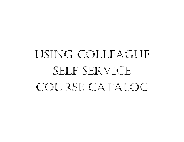## USING COLLEAGUESELF SERVICECOURSE CATALOG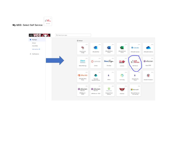

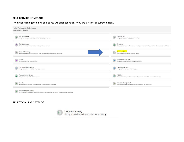## **SELF SERVICE HOMEPAGE**:

The options (categories) available to you will differ especially if you are a former or current student.

| Hello, Welcome to Self-Service!<br>Choose a category to get started.                                                                          |                                                                                                                   |
|-----------------------------------------------------------------------------------------------------------------------------------------------|-------------------------------------------------------------------------------------------------------------------|
| Student Finance                                                                                                                               | Financial Aid                                                                                                     |
| Here you can view your latest statement and make a payment online.                                                                            | Here you can access financial aid data, forms, etc.                                                               |
| Tax Information                                                                                                                               | Employee                                                                                                          |
| Here you can change your consent for e-delivery of tax information.                                                                           | Here you can view your tax form consents, earnings statements, banking information, timecards and leave balances. |
| Student Planning<br>Here you can search for courses, plan your terms, and schedule & register your course sections.                           | Course Catalog<br>Œ<br>Here you can view and search the course catalog.                                           |
| Grades                                                                                                                                        | <b>Graduation Overview</b>                                                                                        |
| Here you can view your grades by term,                                                                                                        | Here you can view and submit a graduation application.                                                            |
| Enrollment Verifications                                                                                                                      | <b>Transcript Requests</b>                                                                                        |
| Here you can view and request an enrollment verification.                                                                                     | Here you can view and request a transcript.                                                                       |
| Academic Attendance                                                                                                                           | Advising                                                                                                          |
| Here you can view your attendances by term.                                                                                                   | Here you can access your advisees and provide guidance & feedback on their academic planning.                     |
| Faculty                                                                                                                                       | Financial Management                                                                                              |
| Here you can view your active classes and submit grades and waivers for students.                                                             | Here you can view the financial health of your cost centers and your projects.                                    |
| Student Finance Admin<br>Here you can view the Student Finance information as a student would so you can help the student with any questions. |                                                                                                                   |

## **SELECT COURSE CATALOG:**



Course Catalog<br>Here you can view and search the course catalog.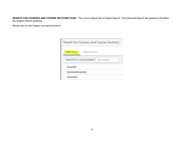**SEARCH FOR COURSES AND COURSE SECTIONS PAGE:** The current default tab is Subject Search. The Advanced Search tab guidance will follow the Subject Search guidance.

Mouse-click on the Subject you want to search.

| Search for Courses and Course Sections        |
|-----------------------------------------------|
| Subject Search Advanced Search                |
| Search for a course subject:   Type a subject |
| Accounting                                    |
| <b>Administrative Support</b>                 |
| Allied Health                                 |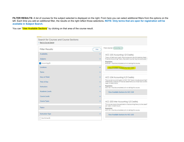FILTER RESULTS: A list of courses for the subject selected is displayed on the right. From here you can select additional filters from the options on the left. Each time you add an additional filter, the results on the right reflect those selections**. NOTE: Only terms that are open for registration will be available in Subject Search.** 

You can "View Available Sections" by clicking on that area of the course result.

| Search for Courses and Course Sections<br>< Back to Course Catalog |              |                                                                                                                                                                               |
|--------------------------------------------------------------------|--------------|-------------------------------------------------------------------------------------------------------------------------------------------------------------------------------|
| <b>Filter Results</b>                                              | Hide         | Filters Applied: (Accounting X)                                                                                                                                               |
| Availability                                                       |              | ACC-103 Accounting I (3 Credits)                                                                                                                                              |
| Subjects                                                           | ㅅ            | Theory of debit and credit, the purpose and use of a balance sheet, i<br>Financial Accounting Theory. Equivalent course may be substituted. I                                 |
| Accounting (9)                                                     |              | Requisites:<br>ENG-097 - Must be completed prior to taking this course.                                                                                                       |
| Locations                                                          | $\checkmark$ | View Available Sections for ACC-103                                                                                                                                           |
| Terms.                                                             | $\checkmark$ |                                                                                                                                                                               |
| Days of Week                                                       | v            | ACC-104 Accounting II (3 Credits)                                                                                                                                             |
| Time of Day                                                        | $\checkmark$ | This course is a continuation of ACC 103. Topics include accounting fi<br>differentials. Analysis of financial statements is a critical topic covere<br>week, 3 credit hours. |
| <i><b>Instructors</b></i>                                          | $\checkmark$ | Requisites:<br>ACC-103 - Must be completed prior to taking this course.                                                                                                       |
| Academic Levels                                                    | $\checkmark$ | View Available Sections for ACC-104                                                                                                                                           |
| Course Levels                                                      | $\checkmark$ |                                                                                                                                                                               |
| Course Types                                                       | ∧            | ACC-203 Inter Accounting I (3 Credits)                                                                                                                                        |
|                                                                    |              | This course covers the application of accounting theory to the classif<br>per week. 3 credit hours.                                                                           |
| <b>Topics</b>                                                      | ᄉ            | Requisites:<br>ACC-104 - Must be completed prior to taking this course.                                                                                                       |
| Instruction Type                                                   | ×            | View Available Sections for ACC-203                                                                                                                                           |
| Not Online (5)                                                     |              |                                                                                                                                                                               |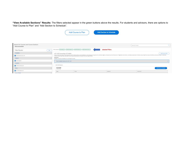**"View Available Sections" Results:** The filters selected appear in the green buttons above the results. For students and advisors, there are options to "Add Course to Plan" and "Add Section to Schedule".

| Course to Plan | Add Section to Schedule |
|----------------|-------------------------|
|                |                         |

| Search for Courses and Course Sections<br>< Back to Course Catalog |            |                                                                        |                                                                             |                  | Jeanst Art stursed                                                                                                                                                                                                             |         |                         |
|--------------------------------------------------------------------|------------|------------------------------------------------------------------------|-----------------------------------------------------------------------------|------------------|--------------------------------------------------------------------------------------------------------------------------------------------------------------------------------------------------------------------------------|---------|-------------------------|
| Filter Results                                                     | <b>Har</b> |                                                                        | First Azzlez (kusuning x) (Controllment x) (2015454460 x) (Declarion Dis x) | Selected Filters |                                                                                                                                                                                                                                |         |                         |
| Availability.                                                      |            | ACC-103 Accounting I (3 Credits)                                       |                                                                             |                  |                                                                                                                                                                                                                                |         | Add Counter to Flam     |
| Coen Sections Driv (14)                                            |            |                                                                        |                                                                             |                  | They of their excited the published institute that increase part in the interest commity provide anisots, substituted and search process of eighten interest requested connect, any states of the local and any search and any |         |                         |
| Sidirem                                                            |            | Regulation:<br>BNG-097 - Shutche completed prior to taking this murbs. |                                                                             |                  |                                                                                                                                                                                                                                |         |                         |
| <b>B</b> Attracting (4)                                            |            | View Available Sections for ACC-103                                    |                                                                             |                  |                                                                                                                                                                                                                                |         |                         |
| Locations                                                          |            |                                                                        |                                                                             |                  |                                                                                                                                                                                                                                |         |                         |
| Crembro Campus (4)                                                 |            | 3031 Fall Seption                                                      |                                                                             |                  |                                                                                                                                                                                                                                |         |                         |
| <b>Terms</b>                                                       |            | 600-103-003<br><b>Autourding C</b>                                     |                                                                             |                  |                                                                                                                                                                                                                                |         | Add Section to Schedule |
| 2 1921 Fall Seption (4)                                            |            | <b>Sales</b>                                                           | <b>Total</b>                                                                | License.         |                                                                                                                                                                                                                                | Henders |                         |
| <b>Chronical Middle</b>                                            |            |                                                                        |                                                                             |                  |                                                                                                                                                                                                                                |         |                         |